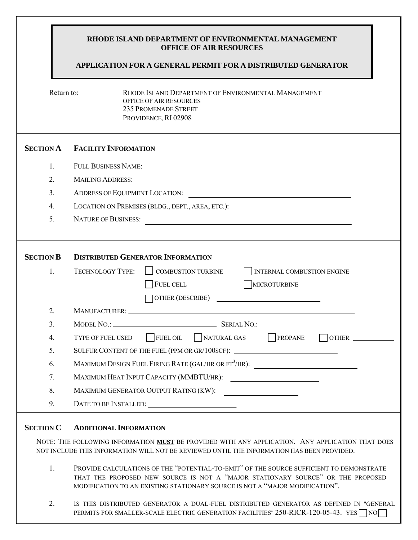### **RHODE ISLAND DEPARTMENT OF ENVIRONMENTAL MANAGEMENT OFFICE OF AIR RESOURCES**

## **APPLICATION FOR A GENERAL PERMIT FOR A DISTRIBUTED GENERATOR**

Return to: **RHODE ISLAND DEPARTMENT OF ENVIRONMENTAL MANAGEMENT** OFFICE OF AIR RESOURCES 235 PROMENADE STREET PROVIDENCE, RI 02908

## **SECTION A FACILITY INFORMATION**

- 1. FULL BUSINESS NAME:
- 2. MAILING ADDRESS:
- 3. ADDRESS OF EQUIPMENT LOCATION:
- 4. LOCATION ON PREMISES (BLDG., DEPT., AREA, ETC.):
- 5. NATURE OF BUSINESS:

# **SECTION B DISTRIBUTED GENERATOR INFORMATION** 1. TECHNOLOGY TYPE: COMBUSTION TURBINE **INTERNAL COMBUSTION ENGINE** THE CELL THE CELL THE CELL THE CELL THE CELL THE CELL THE CELL THE CHANGE OF THE CHANGE OF THE CHANGE OF THE CH

|    | $\bf{1}$ OEL CELL<br><b>I</b> INIUNUTUNDINE                                                   |
|----|-----------------------------------------------------------------------------------------------|
|    | OTHER (DESCRIBE)                                                                              |
| 2. |                                                                                               |
| 3. | MODEL NO.: SERIAL NO.:                                                                        |
| 4. | TYPE OF FUEL USED FUEL OIL NATURAL GAS<br>PROPANE<br>$\Box$ OTHER $\_\_$                      |
| 5. | SULFUR CONTENT OF THE FUEL (PPM OR GR/100SCF):                                                |
| 6. | MAXIMUM DESIGN FUEL FIRING RATE (GAL/HR OR FT <sup>3</sup> /HR): ____________________________ |
| 7. | MAXIMUM HEAT INPUT CAPACITY (MMBTU/HR):                                                       |
| 8. | MAXIMUM GENERATOR OUTPUT RATING (KW):                                                         |
| 9. | DATE TO BE INSTALLED:                                                                         |

### **SECTION C ADDITIONAL INFORMATION**

NOTE: THE FOLLOWING INFORMATION **MUST** BE PROVIDED WITH ANY APPLICATION. ANY APPLICATION THAT DOES NOT INCLUDE THIS INFORMATION WILL NOT BE REVIEWED UNTIL THE INFORMATION HAS BEEN PROVIDED.

- 1. PROVIDE CALCULATIONS OF THE "POTENTIAL-TO-EMIT" OF THE SOURCE SUFFICIENT TO DEMONSTRATE THAT THE PROPOSED NEW SOURCE IS NOT A "MAJOR STATIONARY SOURCE" OR THE PROPOSED MODIFICATION TO AN EXISTING STATIONARY SOURCE IS NOT A "MAJOR MODIFICATION".
- 2. IS THIS DISTRIBUTED GENERATOR A DUAL-FUEL DISTRIBUTED GENERATOR AS DEFINED IN "GENERAL PERMITS FOR SMALLER-SCALE ELECTRIC GENERATION FACILITIES" 250-RICR-120-05-43. YES NO